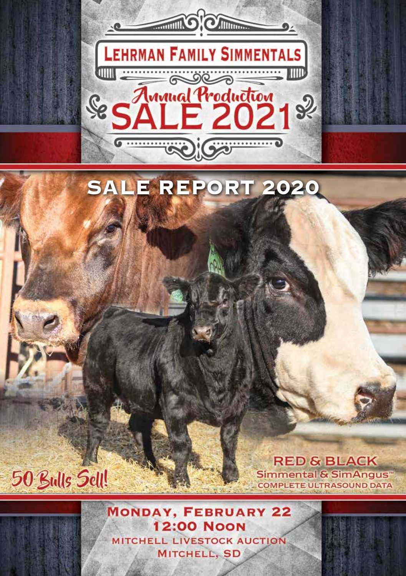

## **MONDAY, FEBRUARY 22 12:00 NOON** MITCHELL LIVESTOCK AUCTION MITCHELL, SD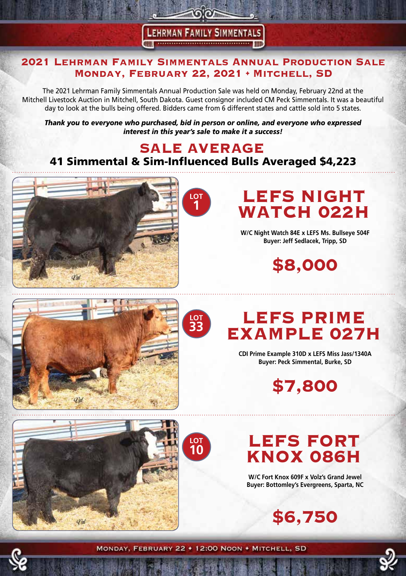#### **LEHRMAN FAMILY SIMMENTALS** THE CONSIDERATION CONTINUES OF THE

<u>ରାଚଳ</u>

#### **2021 Lehrman Family Simmentals Annual Production Sale Monday, February 22, 2021 • Mitchell, SD**

The 2021 Lehrman Family Simmentals Annual Production Sale was held on Monday, February 22nd at the Mitchell Livestock Auction in Mitchell, South Dakota. Guest consignor included CM Peck Simmentals. It was a beautiful day to look at the bulls being offered. Bidders came from 6 different states and cattle sold into 5 states.

*Thank you to everyone who purchased, bid in person or online, and everyone who expressed interest in this year's sale to make it a success!* 

### **SALE AVERAGE** 41 Simmental & Sim-Influenced Bulls Averaged \$4,223





# **LEFS NIGHT WATCH 022H**

**W/C Night Watch 84E x LEFS Ms. Bullseye 504F Buyer: Jeff Sedlacek, Tripp, SD**

**\$8,000**



# **LEFS PRIME EXAMPLE 027H**

**CDI Prime Example 310D x LEFS Miss Jass/1340A Buyer: Peck Simmental, Burke, SD**

**\$7,800**



## **LOT 10**

# **LEFS FORT KNOX 086H**

**W/C Fort Knox 609F x Volz's Grand Jewel Buyer: Bottomley's Evergreens, Sparta, NC**

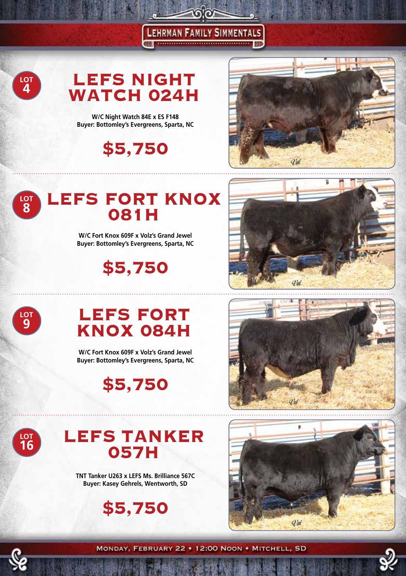**LEFS NIGHT WATCH 024H** 

 $\sim$ 

**LEHRMAN FAMILY SIMMENTALS ONLY ACCOMMODATION OF THE MAIN** 

**W/C Night Watch 84E x ES F148 Buyer: Bottomley's Evergreens, Sparta, NC**

**\$5,750**



#### **LEFS FORT KNOX 081H LOT 8**

**W/C Fort Knox 609F x Volz's Grand Jewel Buyer: Bottomley's Evergreens, Sparta, NC**

**\$5,750**





**LOT 4**

# **LEFS FORT KNOX 084H**

**W/C Fort Knox 609F x Volz's Grand Jewel Buyer: Bottomley's Evergreens, Sparta, NC**

**\$5,750**



**LEFS TANKER 057H**

**TNT Tanker U263 x LEFS Ms. Brilliance 567C Buyer: Kasey Gehrels, Wentworth, SD**





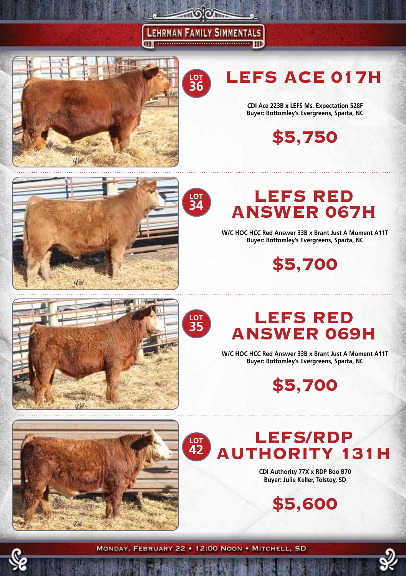#### **LEHRMAN FAMILY SIMMENTALS THILL**

 $O(O)$ 

**LOT 36**



# **LEFS ACE 017H**

**CDI Ace 223B x LEFS Ms. Expectation 528F Buyer: Bottomley's Evergreens, Sparta, NC**

**\$5,750**





**W/C HOC HCC Red Answer 33B x Brant Just A Moment A11T Buyer: Bottomley's Evergreens, Sparta, NC**

**\$5,700**



**LOT 34**

## **LEFS RED ANSWER 069H**

**W/C HOC HCC Red Answer 33B x Brant Just A Moment A11T Buyer: Bottomley's Evergreens, Sparta, NC**

**\$5,700**





**CDI Authority 77X x RDP Boo B70 Buyer: Julie Keller, Tolstoy, SD**

**\$5,600**